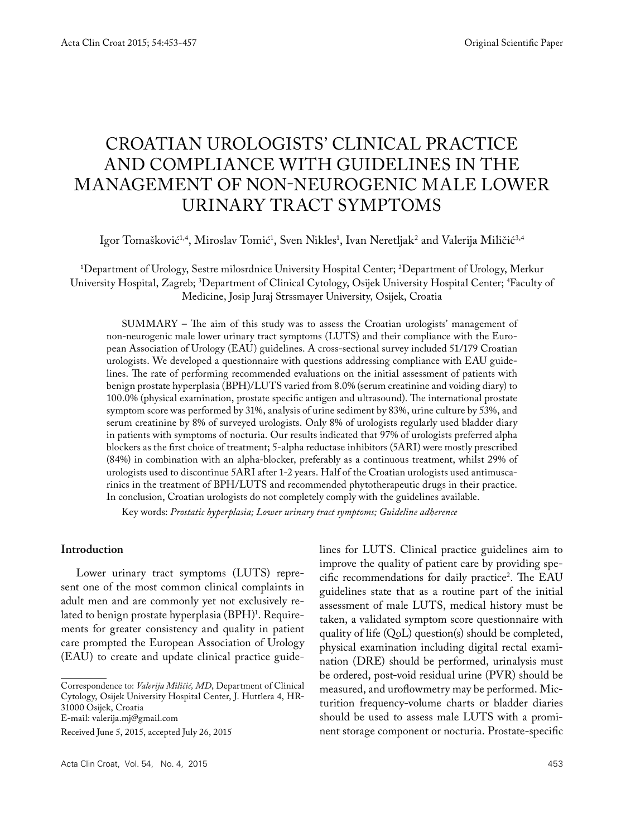# CROATIAN UROLOGISTS' CLINICAL PRACTICE AND COMPLIANCE WITH GUIDELINES IN THE MANAGEMENT OF NON-NEUROGENIC MALE LOWER URINARY TRACT SYMPTOMS

Igor Tomašković<sup>1,4</sup>, Miroslav Tomić<sup>1</sup>, Sven Nikles<sup>1</sup>, Ivan Neretljak<sup>2</sup> and Valerija Miličić<sup>3,4</sup>

1 Department of Urology, Sestre milosrdnice University Hospital Center; 2 Department of Urology, Merkur University Hospital, Zagreb; 3 Department of Clinical Cytology, Osijek University Hospital Center; 4 Faculty of Medicine, Josip Juraj Strssmayer University, Osijek, Croatia

SUMMARY – The aim of this study was to assess the Croatian urologists' management of non-neurogenic male lower urinary tract symptoms (LUTS) and their compliance with the European Association of Urology (EAU) guidelines. A cross-sectional survey included 51/179 Croatian urologists. We developed a questionnaire with questions addressing compliance with EAU guidelines. The rate of performing recommended evaluations on the initial assessment of patients with benign prostate hyperplasia (BPH)/LUTS varied from 8.0% (serum creatinine and voiding diary) to 100.0% (physical examination, prostate specific antigen and ultrasound). The international prostate symptom score was performed by 31%, analysis of urine sediment by 83%, urine culture by 53%, and serum creatinine by 8% of surveyed urologists. Only 8% of urologists regularly used bladder diary in patients with symptoms of nocturia. Our results indicated that 97% of urologists preferred alpha blockers as the first choice of treatment; 5-alpha reductase inhibitors (5ARI) were mostly prescribed (84%) in combination with an alpha-blocker, preferably as a continuous treatment, whilst 29% of urologists used to discontinue 5ARI after 1-2 years. Half of the Croatian urologists used antimuscarinics in the treatment of BPH/LUTS and recommended phytotherapeutic drugs in their practice. In conclusion, Croatian urologists do not completely comply with the guidelines available.

Key words: *Prostatic hyperplasia; Lower urinary tract symptoms; Guideline adherence*

## **Introduction**

Lower urinary tract symptoms (LUTS) represent one of the most common clinical complaints in adult men and are commonly yet not exclusively related to benign prostate hyperplasia (BPH)<sup>1</sup>. Requirements for greater consistency and quality in patient care prompted the European Association of Urology (EAU) to create and update clinical practice guide-

Correspondence to: *Valerija Miličić, MD*, Department of Clinical Cytology, Osijek University Hospital Center, J. Huttlera 4, HR-31000 Osijek, Croatia

E-mail: valerija.mj@gmail.com

Received June 5, 2015, accepted July 26, 2015

lines for LUTS. Clinical practice guidelines aim to improve the quality of patient care by providing specific recommendations for daily practice2 . The EAU guidelines state that as a routine part of the initial assessment of male LUTS, medical history must be taken, a validated symptom score questionnaire with quality of life (QoL) question(s) should be completed, physical examination including digital rectal examination (DRE) should be performed, urinalysis must be ordered, post-void residual urine (PVR) should be measured, and uroflowmetry may be performed. Micturition frequency-volume charts or bladder diaries should be used to assess male LUTS with a prominent storage component or nocturia. Prostate-specific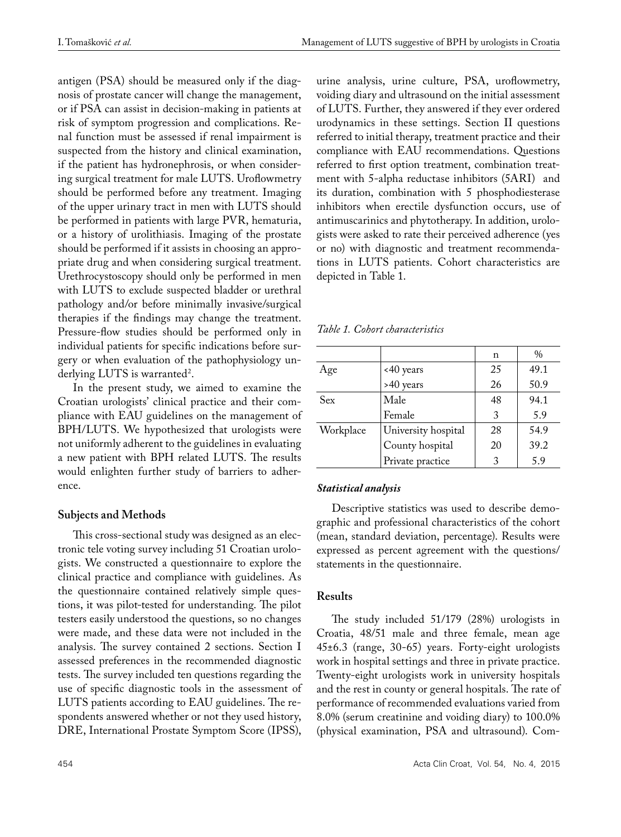antigen (PSA) should be measured only if the diagnosis of prostate cancer will change the management, or if PSA can assist in decision-making in patients at risk of symptom progression and complications. Renal function must be assessed if renal impairment is suspected from the history and clinical examination, if the patient has hydronephrosis, or when considering surgical treatment for male LUTS. Uroflowmetry should be performed before any treatment. Imaging of the upper urinary tract in men with LUTS should be performed in patients with large PVR, hematuria, or a history of urolithiasis. Imaging of the prostate should be performed if it assists in choosing an appropriate drug and when considering surgical treatment. Urethrocystoscopy should only be performed in men with LUTS to exclude suspected bladder or urethral pathology and/or before minimally invasive/surgical therapies if the findings may change the treatment. Pressure-flow studies should be performed only in individual patients for specific indications before surgery or when evaluation of the pathophysiology underlying LUTS is warranted<sup>2</sup>.

In the present study, we aimed to examine the Croatian urologists' clinical practice and their compliance with EAU guidelines on the management of BPH/LUTS. We hypothesized that urologists were not uniformly adherent to the guidelines in evaluating a new patient with BPH related LUTS. The results would enlighten further study of barriers to adherence.

# **Subjects and Methods**

This cross-sectional study was designed as an electronic tele voting survey including 51 Croatian urologists. We constructed a questionnaire to explore the clinical practice and compliance with guidelines. As the questionnaire contained relatively simple questions, it was pilot-tested for understanding. The pilot testers easily understood the questions, so no changes were made, and these data were not included in the analysis. The survey contained 2 sections. Section I assessed preferences in the recommended diagnostic tests. The survey included ten questions regarding the use of specific diagnostic tools in the assessment of LUTS patients according to EAU guidelines. The respondents answered whether or not they used history, DRE, International Prostate Symptom Score (IPSS),

urine analysis, urine culture, PSA, uroflowmetry, voiding diary and ultrasound on the initial assessment of LUTS. Further, they answered if they ever ordered urodynamics in these settings. Section II questions referred to initial therapy, treatment practice and their compliance with EAU recommendations. Questions referred to first option treatment, combination treatment with 5-alpha reductase inhibitors (5ARI) and its duration, combination with 5 phosphodiesterase inhibitors when erectile dysfunction occurs, use of antimuscarinics and phytotherapy. In addition, urologists were asked to rate their perceived adherence (yes or no) with diagnostic and treatment recommendations in LUTS patients. Cohort characteristics are depicted in Table 1.

*Table 1. Cohort characteristics*

|           |                     | n  | $\frac{0}{0}$ |
|-----------|---------------------|----|---------------|
| Age       | <40 years           | 25 | 49.1          |
|           | >40 years           | 26 | 50.9          |
| Sex       | Male                | 48 | 94.1          |
|           | Female              | 3  | 5.9           |
| Workplace | University hospital | 28 | 54.9          |
|           | County hospital     | 20 | 39.2          |
|           | Private practice    | 3  | 5.9           |

# *Statistical analysis*

Descriptive statistics was used to describe demographic and professional characteristics of the cohort (mean, standard deviation, percentage). Results were expressed as percent agreement with the questions/ statements in the questionnaire.

# **Results**

The study included 51/179 (28%) urologists in Croatia, 48/51 male and three female, mean age 45±6.3 (range, 30-65) years. Forty-eight urologists work in hospital settings and three in private practice. Twenty-eight urologists work in university hospitals and the rest in county or general hospitals. The rate of performance of recommended evaluations varied from 8.0% (serum creatinine and voiding diary) to 100.0% (physical examination, PSA and ultrasound). Com-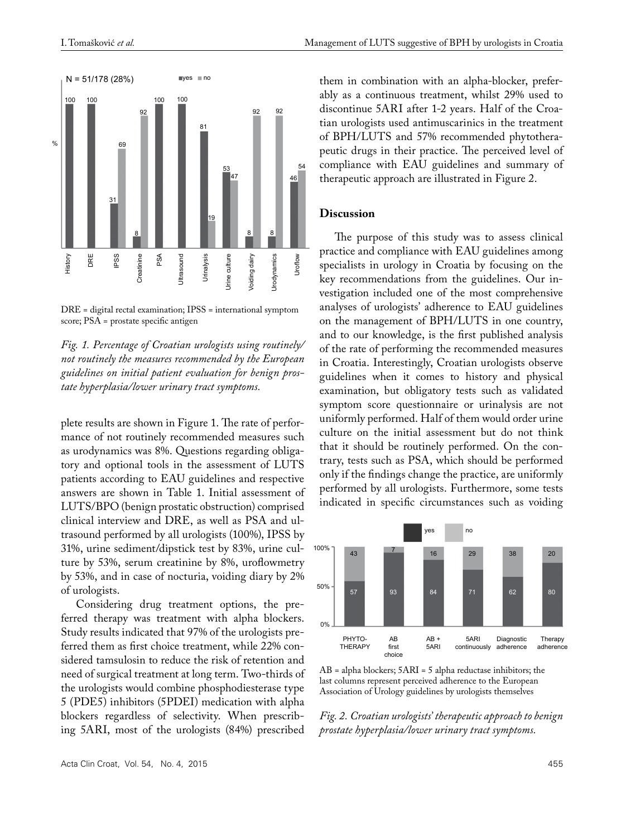

DRE = digital rectal examination; IPSS = international symptom score; PSA = prostate specific antigen

*Fig. 1. Percentage of Croatian urologists using routinely/ not routinely the measures recommended by the European guidelines on initial patient evaluation for benign prostate hyperplasia/lower urinary tract symptoms.*

plete results are shown in Figure 1. The rate of performance of not routinely recommended measures such as urodynamics was 8%. Questions regarding obligatory and optional tools in the assessment of LUTS patients according to EAU guidelines and respective answers are shown in Table 1. Initial assessment of LUTS/BPO (benign prostatic obstruction) comprised clinical interview and DRE, as well as PSA and ultrasound performed by all urologists (100%), IPSS by 31%, urine sediment/dipstick test by 83%, urine culture by 53%, serum creatinine by 8%, uroflowmetry by 53%, and in case of nocturia, voiding diary by 2% of urologists.

Considering drug treatment options, the preferred therapy was treatment with alpha blockers. Study results indicated that 97% of the urologists preferred them as first choice treatment, while 22% considered tamsulosin to reduce the risk of retention and need of surgical treatment at long term. Two-thirds of the urologists would combine phosphodiesterase type 5 (PDE5) inhibitors (5PDEI) medication with alpha blockers regardless of selectivity. When prescribing 5ARI, most of the urologists (84%) prescribed them in combination with an alpha-blocker, preferably as a continuous treatment, whilst 29% used to discontinue 5ARI after 1-2 years. Half of the Croatian urologists used antimuscarinics in the treatment of BPH/LUTS and 57% recommended phytotherapeutic drugs in their practice. The perceived level of compliance with EAU guidelines and summary of therapeutic approach are illustrated in Figure 2.

#### **Discussion**

The purpose of this study was to assess clinical practice and compliance with EAU guidelines among specialists in urology in Croatia by focusing on the key recommendations from the guidelines. Our investigation included one of the most comprehensive analyses of urologists' adherence to EAU guidelines on the management of BPH/LUTS in one country, and to our knowledge, is the first published analysis of the rate of performing the recommended measures in Croatia. Interestingly, Croatian urologists observe guidelines when it comes to history and physical examination, but obligatory tests such as validated symptom score questionnaire or urinalysis are not uniformly performed. Half of them would order urine culture on the initial assessment but do not think that it should be routinely performed. On the contrary, tests such as PSA, which should be performed only if the findings change the practice, are uniformly performed by all urologists. Furthermore, some tests indicated in specific circumstances such as voiding



AB = alpha blockers; 5ARI = 5 alpha reductase inhibitors; the last columns represent perceived adherence to the European Association of Urology guidelines by urologists themselves

*Fig. 2. Croatian urologists' therapeutic approach to benign prostate hyperplasia/lower urinary tract symptoms.*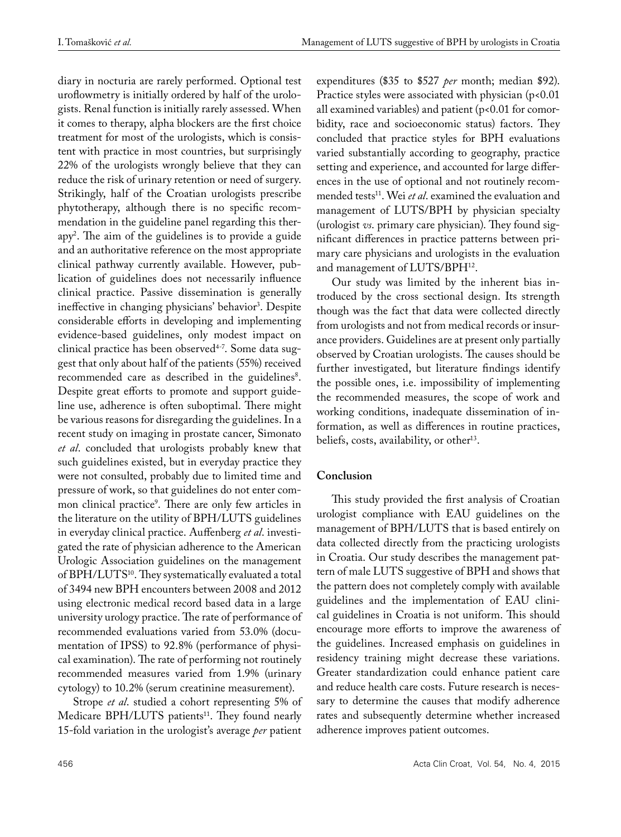diary in nocturia are rarely performed. Optional test uroflowmetry is initially ordered by half of the urologists. Renal function is initially rarely assessed. When it comes to therapy, alpha blockers are the first choice treatment for most of the urologists, which is consistent with practice in most countries, but surprisingly 22% of the urologists wrongly believe that they can reduce the risk of urinary retention or need of surgery. Strikingly, half of the Croatian urologists prescribe phytotherapy, although there is no specific recommendation in the guideline panel regarding this therapy2 . The aim of the guidelines is to provide a guide and an authoritative reference on the most appropriate clinical pathway currently available. However, publication of guidelines does not necessarily influence clinical practice. Passive dissemination is generally ineffective in changing physicians' behavior<sup>3</sup>. Despite considerable efforts in developing and implementing evidence-based guidelines, only modest impact on clinical practice has been observed<sup>4-7</sup>. Some data suggest that only about half of the patients (55%) received recommended care as described in the guidelines<sup>8</sup>. Despite great efforts to promote and support guideline use, adherence is often suboptimal. There might be various reasons for disregarding the guidelines. In a recent study on imaging in prostate cancer, Simonato *et al*. concluded that urologists probably knew that such guidelines existed, but in everyday practice they were not consulted, probably due to limited time and pressure of work, so that guidelines do not enter common clinical practice9 . There are only few articles in the literature on the utility of BPH/LUTS guidelines in everyday clinical practice. Auffenberg *et al*. investigated the rate of physician adherence to the American Urologic Association guidelines on the management of BPH/LUTS10. They systematically evaluated a total of 3494 new BPH encounters between 2008 and 2012 using electronic medical record based data in a large university urology practice. The rate of performance of recommended evaluations varied from 53.0% (documentation of IPSS) to 92.8% (performance of physical examination). The rate of performing not routinely recommended measures varied from 1.9% (urinary cytology) to 10.2% (serum creatinine measurement).

Strope *et al*. studied a cohort representing 5% of Medicare BPH/LUTS patients<sup>11</sup>. They found nearly 15-fold variation in the urologist's average *per* patient expenditures (\$35 to \$527 *per* month; median \$92). Practice styles were associated with physician  $(p<0.01)$ all examined variables) and patient (p<0.01 for comorbidity, race and socioeconomic status) factors. They concluded that practice styles for BPH evaluations varied substantially according to geography, practice setting and experience, and accounted for large differences in the use of optional and not routinely recommended tests<sup>11</sup>. Wei et al. examined the evaluation and management of LUTS/BPH by physician specialty (urologist *vs*. primary care physician). They found significant differences in practice patterns between primary care physicians and urologists in the evaluation and management of LUTS/BPH<sup>12</sup>.

Our study was limited by the inherent bias introduced by the cross sectional design. Its strength though was the fact that data were collected directly from urologists and not from medical records or insurance providers. Guidelines are at present only partially observed by Croatian urologists. The causes should be further investigated, but literature findings identify the possible ones, i.e. impossibility of implementing the recommended measures, the scope of work and working conditions, inadequate dissemination of information, as well as differences in routine practices, beliefs, costs, availability, or other<sup>13</sup>.

# **Conclusion**

This study provided the first analysis of Croatian urologist compliance with EAU guidelines on the management of BPH/LUTS that is based entirely on data collected directly from the practicing urologists in Croatia. Our study describes the management pattern of male LUTS suggestive of BPH and shows that the pattern does not completely comply with available guidelines and the implementation of EAU clinical guidelines in Croatia is not uniform. This should encourage more efforts to improve the awareness of the guidelines. Increased emphasis on guidelines in residency training might decrease these variations. Greater standardization could enhance patient care and reduce health care costs. Future research is necessary to determine the causes that modify adherence rates and subsequently determine whether increased adherence improves patient outcomes.